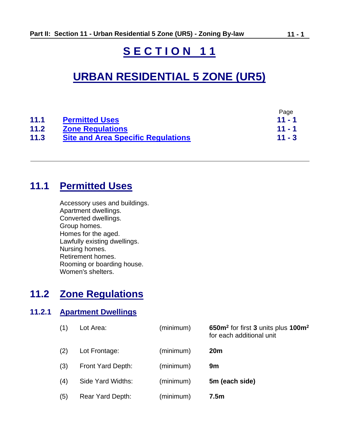# **S E C T I O N 1 1**

# **URBAN RESIDENTIAL 5 ZONE (UR5)**

|      |                                           | Page     |
|------|-------------------------------------------|----------|
| 11.1 | <b>Permitted Uses</b>                     | $11 - 1$ |
| 11.2 | <b>Zone Regulations</b>                   | $11 - 1$ |
| 11.3 | <b>Site and Area Specific Regulations</b> | $11 - 3$ |

# **11.1 Permitted Uses**

<span id="page-0-0"></span>

| Accessory uses and buildings. |
|-------------------------------|
| Apartment dwellings.          |
| Converted dwellings.          |
| Group homes.                  |
| Homes for the aged.           |
| Lawfully existing dwellings.  |
| Nursing homes.                |
| Retirement homes.             |
| Rooming or boarding house.    |
| Women's shelters.             |

# <span id="page-0-1"></span>**11.2 Zone Regulations**

### **11.2.1 Apartment Dwellings**

| (1) | Lot Area:         | (minimum) | 650m <sup>2</sup> for first 3 units plus 100m <sup>2</sup><br>for each additional unit |
|-----|-------------------|-----------|----------------------------------------------------------------------------------------|
| (2) | Lot Frontage:     | (minimum) | <b>20m</b>                                                                             |
| (3) | Front Yard Depth: | (minimum) | 9m                                                                                     |
| (4) | Side Yard Widths: | (minimum) | 5m (each side)                                                                         |
| (5) | Rear Yard Depth:  | (minimum) | 7.5m                                                                                   |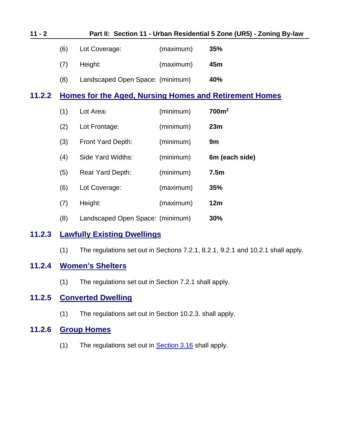<span id="page-1-0"></span>

| $11 - 2$ |     |                                                               |           | Part II: Section 11 - Urban Residential 5 Zone (UR5) - Zoning By-law |  |
|----------|-----|---------------------------------------------------------------|-----------|----------------------------------------------------------------------|--|
|          | (6) | Lot Coverage:                                                 | (maximum) | <b>35%</b>                                                           |  |
|          | (7) | Height:                                                       | (maximum) | 45m                                                                  |  |
|          | (8) | Landscaped Open Space: (minimum)                              |           | 40%                                                                  |  |
| 11.2.2   |     | <b>Homes for the Aged, Nursing Homes and Retirement Homes</b> |           |                                                                      |  |
|          | (1) | Lot Area:                                                     | (minimum) | 700m <sup>2</sup>                                                    |  |
|          | (2) | Lot Frontage:                                                 | (minimum) | 23m                                                                  |  |
|          | (3) | Front Yard Depth:                                             | (minimum) | 9m                                                                   |  |
|          | (4) | Side Yard Widths:                                             | (minimum) | 6m (each side)                                                       |  |
|          | (5) | Rear Yard Depth:                                              | (minimum) | 7.5m                                                                 |  |
|          | (6) | Lot Coverage:                                                 | (maximum) | 35%                                                                  |  |
|          | (7) | Height:                                                       | (maximum) | 12m                                                                  |  |
|          | (8) | Landscaped Open Space: (minimum)                              |           | 30%                                                                  |  |
| 11.2.3   |     | <b>Lawfully Existing Dwellings</b>                            |           |                                                                      |  |

(1) The regulations set out in Sections 7.2.1, 8.2.1, 9.2.1 and 10.2.1 shall apply.

### **11.2.4 Women's Shelters**

(1) The regulations set out in Section 7.2.1 shall apply.

### **11.2.5 Converted Dwelling**

(1) The regulations set out in Section 10.2.3. shall apply.

### **11.2.6 Group Homes**

(1) The regulations set out in **Section 3.16** shall apply.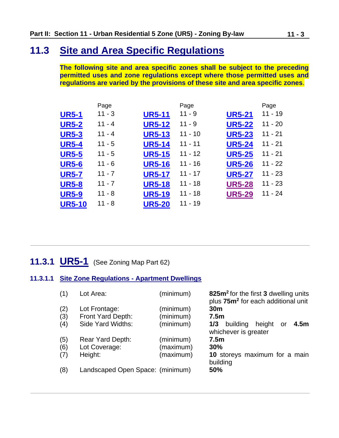# **11.3 Site and Area Specific Regulations**

<span id="page-2-0"></span>**The following site and area specific zones shall be subject to the preceding permitted uses and zone regulations except where those permitted uses and regulations are varied by the provisions of these site and area specific zones**.

|               | Page     |               | Page      |               | Page      |
|---------------|----------|---------------|-----------|---------------|-----------|
| <b>UR5-1</b>  | $11 - 3$ | <b>UR5-11</b> | $11 - 9$  | <b>UR5-21</b> | $11 - 19$ |
| <b>UR5-2</b>  | $11 - 4$ | <b>UR5-12</b> | $11 - 9$  | <b>UR5-22</b> | $11 - 20$ |
| <b>UR5-3</b>  | $11 - 4$ | <b>UR5-13</b> | $11 - 10$ | <b>UR5-23</b> | $11 - 21$ |
| <b>UR5-4</b>  | $11 - 5$ | <b>UR5-14</b> | $11 - 11$ | <b>UR5-24</b> | $11 - 21$ |
| <b>UR5-5</b>  | $11 - 5$ | <b>UR5-15</b> | $11 - 12$ | <b>UR5-25</b> | $11 - 21$ |
| <b>UR5-6</b>  | $11 - 6$ | <b>UR5-16</b> | $11 - 16$ | <b>UR5-26</b> | $11 - 22$ |
| <b>UR5-7</b>  | $11 - 7$ | <b>UR5-17</b> | $11 - 17$ | <b>UR5-27</b> | $11 - 23$ |
| <b>UR5-8</b>  | $11 - 7$ | <b>UR5-18</b> | $11 - 18$ | <b>UR5-28</b> | $11 - 23$ |
| <b>UR5-9</b>  | $11 - 8$ | <b>UR5-19</b> | $11 - 18$ | <b>UR5-29</b> | $11 - 24$ |
| <b>UR5-10</b> | $11 - 8$ | <b>UR5-20</b> | $11 - 19$ |               |           |

### <span id="page-2-1"></span>**11.3.1 UR5-1** (See Zoning Map Part 62)

#### **11.3.1.1 Site Zone Regulations - Apartment Dwellings**

| (1) | Lot Area:                        | (minimum) | 825m <sup>2</sup> for the first 3 dwelling units<br>plus 75m <sup>2</sup> for each additional unit |
|-----|----------------------------------|-----------|----------------------------------------------------------------------------------------------------|
| (2) | Lot Frontage:                    | (minimum) | 30 <sub>m</sub>                                                                                    |
| (3) | Front Yard Depth:                | (minimum) | 7.5 <sub>m</sub>                                                                                   |
| (4) | Side Yard Widths:                | (minimum) | 1/3<br>4.5m<br>building<br>height<br>or<br>whichever is greater                                    |
| (5) | Rear Yard Depth:                 | (minimum) | 7.5 <sub>m</sub>                                                                                   |
| (6) | Lot Coverage:                    | (maximum) | 30%                                                                                                |
| (7) | Height:                          | (maximum) | 10 storeys maximum for a main<br>building                                                          |
| (8) | Landscaped Open Space: (minimum) |           | 50%                                                                                                |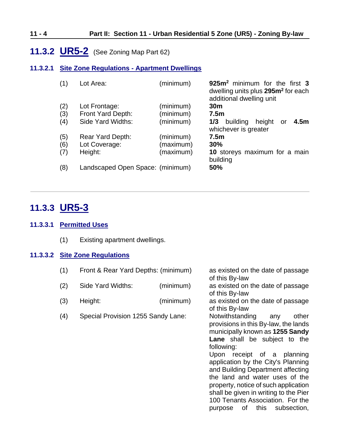#### **11 - 4 Part II: Section 11 - Urban Residential 5 Zone (UR5) - Zoning By-law**

### <span id="page-3-0"></span>**11.3.2 UR5-2** (See Zoning Map Part 62)

#### **11.3.2.1 Site Zone Regulations - Apartment Dwellings**

| (1) | Lot Area:                        | (minimum) | 925m <sup>2</sup> minimum for the first 3<br>dwelling units plus 295m <sup>2</sup> for each<br>additional dwelling unit |
|-----|----------------------------------|-----------|-------------------------------------------------------------------------------------------------------------------------|
| (2) | Lot Frontage:                    | (minimum) | 30 <sub>m</sub>                                                                                                         |
| (3) | Front Yard Depth:                | (minimum) | 7.5 <sub>m</sub>                                                                                                        |
| (4) | Side Yard Widths:                | (minimum) | 1/3<br>4.5 <sub>m</sub><br>building<br>height<br>-or<br>whichever is greater                                            |
| (5) | Rear Yard Depth:                 | (minimum) | 7.5 <sub>m</sub>                                                                                                        |
| (6) | Lot Coverage:                    | (maximum) | 30%                                                                                                                     |
| (7) | Height:                          | (maximum) | 10 storeys maximum for a main<br>building                                                                               |
| (8) | Landscaped Open Space: (minimum) |           | 50%                                                                                                                     |

### <span id="page-3-1"></span>**11.3.3 UR5-3**

#### **11.3.3.1 Permitted Uses**

(1) Existing apartment dwellings.

#### **11.3.3.2 Site Zone Regulations**

| (1) | Front & Rear Yard Depths: (minimum) |  |  |
|-----|-------------------------------------|--|--|
|-----|-------------------------------------|--|--|

- (2) Side Yard Widths: (minimum) as existed on the date of passage
- (3) Height: (minimum) as existed on the date of passage
- (4) Special Provision 1255 Sandy Lane: Notwithstanding any other

of this By-law of this By-law provisions in this By-law, the lands municipally known as **1255 Sandy Lane** shall be subject to the following: Upon receipt of a planning application by the City's Planning and Building Department affecting the land and water uses of the property, notice of such application shall be given in writing to the Pier 100 Tenants Association. For the purpose of this subsection,

as existed on the date of passage

of this By-law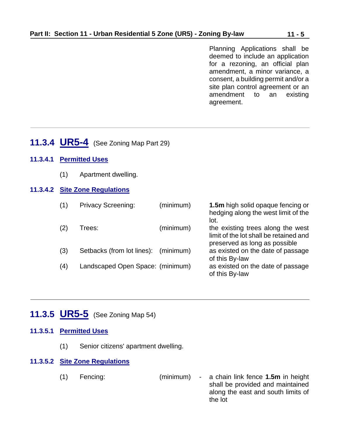Planning Applications shall be deemed to include an application for a rezoning, an official plan amendment, a minor variance, a consent, a building permit and/or a site plan control agreement or an amendment to an existing agreement.

### <span id="page-4-0"></span>**11.3.4 UR5-4** (See Zoning Map Part 29)

- **11.3.4.1 Permitted Uses**
	- (1) Apartment dwelling.

#### **11.3.4.2 Site Zone Regulations**

| (1) | <b>Privacy Screening:</b>            | (minimum) | 1.5m high solid opaque fencing or<br>hedging along the west limit of the<br>lot.                             |
|-----|--------------------------------------|-----------|--------------------------------------------------------------------------------------------------------------|
| (2) | Trees:                               | (minimum) | the existing trees along the west<br>limit of the lot shall be retained and<br>preserved as long as possible |
| (3) | Setbacks (from lot lines): (minimum) |           | as existed on the date of passage<br>of this By-law                                                          |
| (4) | Landscaped Open Space: (minimum)     |           | as existed on the date of passage<br>of this By-law                                                          |

### <span id="page-4-1"></span>**11.3.5 UR5-5** (See Zoning Map 54)

#### **11.3.5.1 Permitted Uses**

(1) Senior citizens' apartment dwelling.

### **11.3.5.2 Site Zone Regulations**

(1) Fencing: (minimum) - a chain link fence **1.5m** in height shall be provided and maintained along the east and south limits of the lot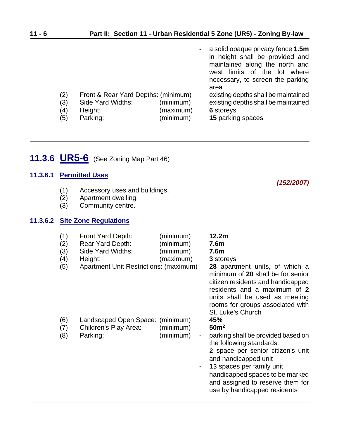|     |                                     |           | - a solid opaque privacy fence 1.5m<br>in height shall be provided and<br>maintained along the north and<br>west limits of the lot where<br>necessary, to screen the parking<br>area |
|-----|-------------------------------------|-----------|--------------------------------------------------------------------------------------------------------------------------------------------------------------------------------------|
| (2) | Front & Rear Yard Depths: (minimum) |           | existing depths shall be maintained                                                                                                                                                  |
| (3) | Side Yard Widths:                   | (minimum) | existing depths shall be maintained                                                                                                                                                  |
| (4) | Height:                             | (maximum) | 6 storeys                                                                                                                                                                            |
| (5) | Parking:                            | (minimum) | 15 parking spaces                                                                                                                                                                    |

# <span id="page-5-0"></span>**11.3.6 UR5-6** (See Zoning Map Part 46)

### **11.3.6.1 Permitted Uses**

- (1) Accessory uses and buildings.
- (2) Apartment dwelling.<br>(3) Community centre.
- Community centre.

#### **11.3.6.2 Site Zone Regulations**

| (1)<br>(2)<br>(3)<br>(4)<br>(5) | Front Yard Depth:<br>Rear Yard Depth:<br>Side Yard Widths:<br>Height:<br>Apartment Unit Restrictions: (maximum) | (minimum)<br>(minimum)<br>(minimum)<br>(maximum)   | 12.2m<br>7.6m<br>7.6 <sub>m</sub><br>3 storeys<br><b>28</b> apartment units, of which a<br>minimum of 20 shall be for senior<br>citizen residents and handicapped<br>residents and a maximum of 2<br>units shall be used as meeting<br>rooms for groups associated with<br>St. Luke's Church |
|---------------------------------|-----------------------------------------------------------------------------------------------------------------|----------------------------------------------------|----------------------------------------------------------------------------------------------------------------------------------------------------------------------------------------------------------------------------------------------------------------------------------------------|
| (6)<br>(7)<br>(8)               | Landscaped Open Space: (minimum)<br>Children's Play Area:<br>Parking:                                           | (minimum)<br>(minimum)<br>$\blacksquare$<br>۰<br>- | 45%<br>50 <sup>m²</sup><br>parking shall be provided based on<br>the following standards:<br>2 space per senior citizen's unit<br>and handicapped unit<br>13 spaces per family unit<br>handicapped spaces to be marked<br>and assigned to reserve them for<br>use by handicapped residents   |

*(152/2007)*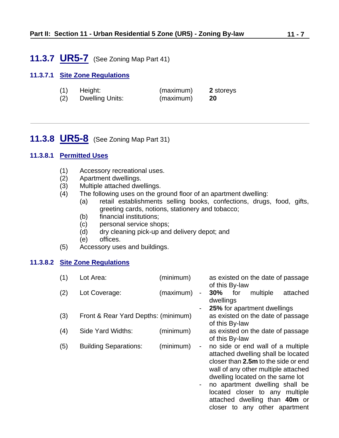### <span id="page-6-0"></span>**11.3.7 UR5-7** (See Zoning Map Part 41)

#### **11.3.7.1 Site Zone Regulations**

| (1) | Height:                | (maximum) | 2 storeys |
|-----|------------------------|-----------|-----------|
| (2) | <b>Dwelling Units:</b> | (maximum) | 20        |

### <span id="page-6-1"></span>**11.3.8 UR5-8** (See Zoning Map Part 31)

#### **11.3.8.1 Permitted Uses**

- (1) Accessory recreational uses.
- (2) Apartment dwellings.
- (3) Multiple attached dwellings.
- (4) The following uses on the ground floor of an apartment dwelling:
	- (a) retail establishments selling books, confections, drugs, food, gifts, greeting cards, notions, stationery and tobacco;
	- (b) financial institutions;
	- (c) personal service shops;
	- (d) dry cleaning pick-up and delivery depot; and
	- (e) offices.
- (5) Accessory uses and buildings.

#### **11.3.8.2 Site Zone Regulations**

| (1) | Lot Area:                           | (minimum) |   | of this By-law   |     | as existed on the date of passage                                                                                                                                                         |          |
|-----|-------------------------------------|-----------|---|------------------|-----|-------------------------------------------------------------------------------------------------------------------------------------------------------------------------------------------|----------|
| (2) | Lot Coverage:                       | (maximum) | - | 30%<br>dwellings | for | multiple                                                                                                                                                                                  | attached |
|     |                                     |           |   |                  |     | <b>25%</b> for apartment dwellings                                                                                                                                                        |          |
| (3) | Front & Rear Yard Depths: (minimum) |           |   | of this By-law   |     | as existed on the date of passage                                                                                                                                                         |          |
| (4) | Side Yard Widths:                   | (minimum) |   | of this By-law   |     | as existed on the date of passage                                                                                                                                                         |          |
| (5) | <b>Building Separations:</b>        | (minimum) | - |                  |     | no side or end wall of a multiple<br>attached dwelling shall be located<br>closer than 2.5m to the side or end<br>wall of any other multiple attached<br>dwelling located on the same lot |          |

- no apartment dwelling shall be located closer to any multiple attached dwelling than **40m** or closer to any other apartment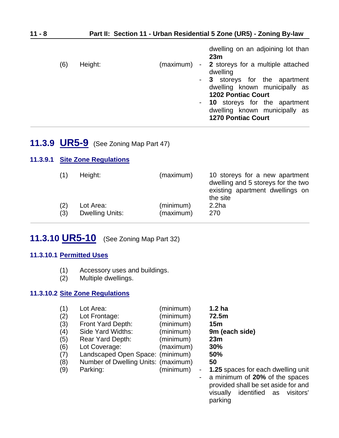|     |         |           | 23m                                                        |                                |
|-----|---------|-----------|------------------------------------------------------------|--------------------------------|
| (6) | Height: | (maximum) | - 2 storeys for a multiple attached<br>dwelling            |                                |
|     |         |           |                                                            | - 3 storeys for the apartment  |
|     |         |           | dwelling known municipally as                              |                                |
|     |         |           | <b>1202 Pontiac Court</b>                                  |                                |
|     |         |           |                                                            | - 10 storeys for the apartment |
|     |         |           | dwelling known municipally as<br><b>1270 Pontiac Court</b> |                                |

### <span id="page-7-0"></span>**11.3.9 UR5-9** (See Zoning Map Part 47)

#### **11.3.9.1 Site Zone Regulations**

| (1) | Height:                | (maximum) | 10 storeys for a new apartment<br>dwelling and 5 storeys for the two<br>existing apartment dwellings on<br>the site |
|-----|------------------------|-----------|---------------------------------------------------------------------------------------------------------------------|
| (2) | Lot Area:              | (minimum) | 2.2 <sub>ha</sub>                                                                                                   |
| (3) | <b>Dwelling Units:</b> | (maximum) | 270                                                                                                                 |

# <span id="page-7-1"></span>**11.3.10 UR5-10** (See Zoning Map Part 32)

#### **11.3.10.1 Permitted Uses**

- (1) Accessory uses and buildings.
- (2) Multiple dwellings.

#### **11.3.10.2 Site Zone Regulations**

| (1) | Lot Area:                           | (minimum) | 1.2 <sub>ha</sub>  |
|-----|-------------------------------------|-----------|--------------------|
| (2) | Lot Frontage:                       | (minimum) | 72.5m              |
| (3) | Front Yard Depth:                   | (minimum) | 15 <sub>m</sub>    |
| (4) | Side Yard Widths:                   | (minimum) | 9m (each side)     |
| (5) | <b>Rear Yard Depth:</b>             | (minimum) | 23m                |
| (6) | Lot Coverage:                       | (maximum) | 30%                |
| (7) | Landscaped Open Space: (minimum)    |           | 50%                |
| (8) | Number of Dwelling Units: (maximum) |           | 50                 |
| (9) | Parking:                            | (minimum) | $-1.25$ spaces for |
|     |                                     |           | a minimum of $20$  |

ces for each dwelling unit - a minimum of **20%** of the spaces provided shall be set aside for and visually identified as visitors' parking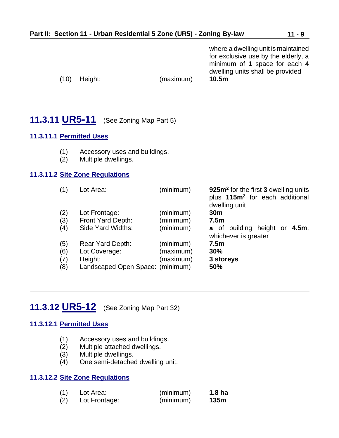<span id="page-8-0"></span>

|                          | Part II: Section 11 - Urban Residential 5 Zone (UR5) - Zoning By-law             |                                     | $11 - 9$                                                                                                                                                 |
|--------------------------|----------------------------------------------------------------------------------|-------------------------------------|----------------------------------------------------------------------------------------------------------------------------------------------------------|
| (10)                     | Height:                                                                          | (maximum)                           | where a dwelling unit is maintained<br>for exclusive use by the elderly, a<br>minimum of 1 space for each 4<br>dwelling units shall be provided<br>10.5m |
|                          | <b>11.3.11 UR5-11</b> (See Zoning Map Part 5)                                    |                                     |                                                                                                                                                          |
|                          | 11.3.11.1 Permitted Uses                                                         |                                     |                                                                                                                                                          |
| (1)<br>(2)               | Accessory uses and buildings.<br>Multiple dwellings.                             |                                     |                                                                                                                                                          |
|                          | 11.3.11.2 Site Zone Regulations                                                  |                                     |                                                                                                                                                          |
| (1)                      | Lot Area:                                                                        | (minimum)                           | 925m <sup>2</sup> for the first 3 dwelling units<br>plus 115m <sup>2</sup> for each additional<br>dwelling unit                                          |
| (2)<br>(3)<br>(4)        | Lot Frontage:<br>Front Yard Depth:<br>Side Yard Widths:                          | (minimum)<br>(minimum)<br>(minimum) | 30 <sub>m</sub><br>7.5 <sub>m</sub><br>a of building height or 4.5m,                                                                                     |
| (5)<br>(6)<br>(7)<br>(8) | Rear Yard Depth:<br>Lot Coverage:<br>Height:<br>Landscaped Open Space: (minimum) | (minimum)<br>(maximum)<br>(maximum) | whichever is greater<br>7.5 <sub>m</sub><br>30%<br>3 storeys<br>50%                                                                                      |

# <span id="page-8-1"></span>**11.3.12 UR5-12** (See Zoning Map Part 32)

### **11.3.12.1 Permitted Uses**

- (1) Accessory uses and buildings.
- (2) Multiple attached dwellings.<br>(3) Multiple dwellings.
- Multiple dwellings.
- (4) One semi-detached dwelling unit.

#### **11.3.12.2 Site Zone Regulations**

| (1) | Lot Area:     | (minimum) | 1.8 <sub>ha</sub> |
|-----|---------------|-----------|-------------------|
| (2) | Lot Frontage: | (minimum) | 135m              |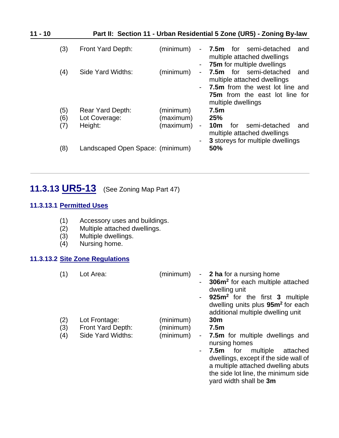| $11 - 10$ |                   |                                              |                                     | Part II: Section 11 - Urban Residential 5 Zone (UR5) - Zoning By-law                                                                                                                                            |
|-----------|-------------------|----------------------------------------------|-------------------------------------|-----------------------------------------------------------------------------------------------------------------------------------------------------------------------------------------------------------------|
|           | (3)               | Front Yard Depth:                            | (minimum)                           | <b>7.5m</b> for semi-detached<br>and<br>$\sim$<br>multiple attached dwellings<br><b>75m</b> for multiple dwellings                                                                                              |
|           | (4)               | Side Yard Widths:                            | (minimum)                           | ۰<br>for semi-detached<br>7.5m<br>and<br>$\overline{\phantom{a}}$<br>multiple attached dwellings<br><b>7.5m</b> from the west lot line and<br>$\overline{\phantom{a}}$<br><b>75m</b> from the east lot line for |
|           | (5)<br>(6)<br>(7) | Rear Yard Depth:<br>Lot Coverage:<br>Height: | (minimum)<br>(maximum)<br>(maximum) | multiple dwellings<br>7.5 <sub>m</sub><br>25%<br>semi-detached<br>10m<br>for<br>and<br>$\overline{\phantom{a}}$<br>multiple attached dwellings                                                                  |
|           | (8)               | Landscaped Open Space: (minimum)             |                                     | 3 storeys for multiple dwellings<br>۰<br>50%                                                                                                                                                                    |

# <span id="page-9-0"></span>**11.3.13 UR5-13** (See Zoning Map Part 47)

#### **11.3.13.1 Permitted Uses**

- (1) Accessory uses and buildings.
- (2) Multiple attached dwellings.
- $(3)$  Multiple dwellings.<br> $(4)$  Nursing home.
- Nursing home.

### **11.3.13.2 Site Zone Regulations**

| (1)               | Lot Area:                                               | (minimum)                           | $\sim 100$ | <b>2 ha</b> for a nursing home<br>306m <sup>2</sup> for each multiple attached<br>dwelling unit<br>925m <sup>2</sup> for the first 3 multiple<br>dwelling units plus 95m <sup>2</sup> for each<br>additional multiple dwelling unit                                               |
|-------------------|---------------------------------------------------------|-------------------------------------|------------|-----------------------------------------------------------------------------------------------------------------------------------------------------------------------------------------------------------------------------------------------------------------------------------|
| (2)<br>(3)<br>(4) | Lot Frontage:<br>Front Yard Depth:<br>Side Yard Widths: | (minimum)<br>(minimum)<br>(minimum) | $\sim$     | 30 <sub>m</sub><br>7.5 <sub>m</sub><br>- 7.5m for multiple dwellings and<br>nursing homes<br><b>7.5m</b> for multiple<br>attached<br>dwellings, except if the side wall of<br>a multiple attached dwelling abuts<br>the side lot line, the minimum side<br>yard width shall be 3m |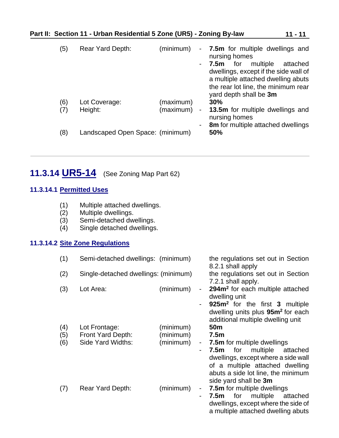| (5) | <b>Rear Yard Depth:</b>          | (minimum) |                          | - 7.5m for multiple dwellings and<br>nursing homes                                                                                                                                  |
|-----|----------------------------------|-----------|--------------------------|-------------------------------------------------------------------------------------------------------------------------------------------------------------------------------------|
|     |                                  |           |                          | multiple<br>for<br>7.5m<br>attached<br>dwellings, except if the side wall of<br>a multiple attached dwelling abuts<br>the rear lot line, the minimum rear<br>yard depth shall be 3m |
| (6) | Lot Coverage:                    | (maximum) |                          | 30%                                                                                                                                                                                 |
| (7) | Height:                          | (maximum) | $\overline{\phantom{a}}$ | 13.5m for multiple dwellings and<br>nursing homes                                                                                                                                   |
|     |                                  |           | ۰                        | 8m for multiple attached dwellings                                                                                                                                                  |
| (8) | Landscaped Open Space: (minimum) |           |                          | 50%                                                                                                                                                                                 |

# <span id="page-10-0"></span>**11.3.14 UR5-14** (See Zoning Map Part 62)

### **11.3.14.1 Permitted Uses**

- (1) Multiple attached dwellings.
- (2) Multiple dwellings.<br>(3) Semi-detached dw
- Semi-detached dwellings.
- (4) Single detached dwellings.

#### **11.3.14.2 Site Zone Regulations**

| (1) | Semi-detached dwellings: (minimum)   |           |                          | the regulations set out in Section<br>8.2.1 shall apply                                                                                    |
|-----|--------------------------------------|-----------|--------------------------|--------------------------------------------------------------------------------------------------------------------------------------------|
| (2) | Single-detached dwellings: (minimum) |           |                          | the regulations set out in Section<br>7.2.1 shall apply.                                                                                   |
| (3) | Lot Area:                            | (minimum) | $\overline{\phantom{a}}$ | 294m <sup>2</sup> for each multiple attached<br>dwelling unit                                                                              |
|     |                                      |           |                          | 925m <sup>2</sup> for the first 3 multiple<br>dwelling units plus 95m <sup>2</sup> for each<br>additional multiple dwelling unit           |
| (4) | Lot Frontage:                        | (minimum) |                          | 50 <sub>m</sub>                                                                                                                            |
| (5) | Front Yard Depth:                    | (minimum) |                          | 7.5 <sub>m</sub>                                                                                                                           |
| (6) | Side Yard Widths:                    | (minimum) | ÷                        | <b>7.5m</b> for multiple dwellings                                                                                                         |
|     |                                      |           | $\blacksquare$           | 7.5m for multiple attached<br>dwellings, except where a side wall<br>of a multiple attached dwelling<br>abuts a side lot line, the minimum |
|     |                                      |           |                          | side yard shall be 3m                                                                                                                      |
| (7) | <b>Rear Yard Depth:</b>              | (minimum) | $\blacksquare$           | 7.5m for multiple dwellings                                                                                                                |
|     |                                      |           | $\blacksquare$           | multiple<br><b>7.5m</b> for<br>attached                                                                                                    |
|     |                                      |           |                          | dwellings, except where the side of                                                                                                        |
|     |                                      |           |                          | a multiple attached dwelling abuts                                                                                                         |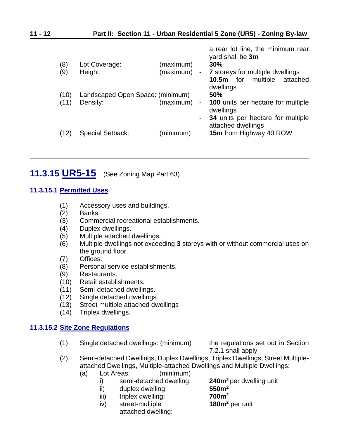| (8)<br>(9)   | Lot Coverage:<br>Height:                     | (maximum)<br>(maximum) | a rear lot line, the minimum rear<br>yard shall be 3m<br>30%<br>- 7 storeys for multiple dwellings<br><b>10.5m</b> for multiple<br>attached<br>dwellings |
|--------------|----------------------------------------------|------------------------|----------------------------------------------------------------------------------------------------------------------------------------------------------|
| (10)<br>(11) | Landscaped Open Space: (minimum)<br>Density: | (maximum)<br>$\sim$    | 50%<br><b>100</b> units per hectare for multiple<br>$\sim 10$<br>dwellings<br>34 units per hectare for multiple                                          |
| (12)         | <b>Special Setback:</b>                      | (minimum)              | attached dwellings<br>15m from Highway 40 ROW                                                                                                            |

# <span id="page-11-0"></span>**11.3.15 UR5-15** (See Zoning Map Part 63)

#### **11.3.15.1 Permitted Uses**

- (1) Accessory uses and buildings.
- (2) Banks.
- (3) Commercial recreational establishments.
- (4) Duplex dwellings.
- (5) Multiple attached dwellings.
- (6) Multiple dwellings not exceeding **3** storeys with or without commercial uses on the ground floor.
- (7) Offices.
- (8) Personal service establishments.
- (9) Restaurants.
- (10) Retail establishments.
- (11) Semi-detached dwellings.
- (12) Single detached dwellings.
- (13) Street multiple attached dwellings
- (14) Triplex dwellings.

#### **11.3.15.2 Site Zone Regulations**

(1) Single detached dwellings: (minimum) the regulations set out in Section

7.2.1 shall apply

- (2) Semi-detached Dwellings, Duplex Dwellings, Triplex Dwellings, Street Multipleattached Dwellings, Multiple-attached Dwellings and Multiple Dwellings:
	- (a) Lot Areas: (minimum)
		- - ii) duplex dwelling:
			- iii) triplex dwelling: **700m<sup>2</sup>**
			- iv) street-multiple **180m<sup>2</sup>** per unit attached dwelling:

i) semi-detached dwelling: **240m<sup>2</sup>** per dwelling unit ii) duplex dwelling: **250m<sup>2</sup>**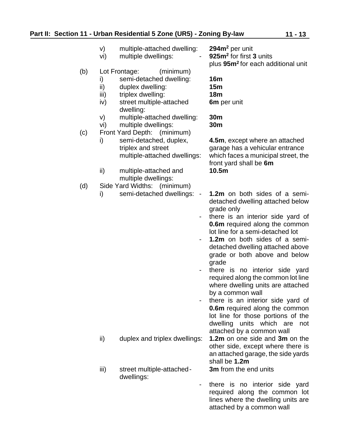|     | V)<br>vi)                | multiple-attached dwelling:<br>multiple dwellings:                                                                                      | 294m <sup>2</sup> per unit<br>925m <sup>2</sup> for first 3 units<br>plus 95m <sup>2</sup> for each additional unit                                                                                                                                                                                                                                                                                                                                                                                                                                                                                                                   |
|-----|--------------------------|-----------------------------------------------------------------------------------------------------------------------------------------|---------------------------------------------------------------------------------------------------------------------------------------------------------------------------------------------------------------------------------------------------------------------------------------------------------------------------------------------------------------------------------------------------------------------------------------------------------------------------------------------------------------------------------------------------------------------------------------------------------------------------------------|
| (b) | i)<br>ii)<br>iii)<br>iv) | Lot Frontage:<br>(minimum)<br>semi-detached dwelling:<br>duplex dwelling:<br>triplex dwelling:<br>street multiple-attached<br>dwelling: | <b>16m</b><br>15m<br><b>18m</b><br>6m per unit                                                                                                                                                                                                                                                                                                                                                                                                                                                                                                                                                                                        |
| (c) | V)<br>vi)                | multiple-attached dwelling:<br>multiple dwellings:<br>Front Yard Depth: (minimum)                                                       | 30m<br>30m                                                                                                                                                                                                                                                                                                                                                                                                                                                                                                                                                                                                                            |
|     | i)                       | semi-detached, duplex,<br>triplex and street<br>multiple-attached dwellings:                                                            | 4.5m, except where an attached<br>garage has a vehicular entrance<br>which faces a municipal street, the<br>front yard shall be 6m                                                                                                                                                                                                                                                                                                                                                                                                                                                                                                    |
|     | ii)                      | multiple-attached and<br>multiple dwellings:                                                                                            | 10.5m                                                                                                                                                                                                                                                                                                                                                                                                                                                                                                                                                                                                                                 |
| (d) | i)                       | Side Yard Widths: (minimum)<br>semi-detached dwellings:<br>$\overline{\phantom{a}}$<br>$\sim$                                           | 1.2m on both sides of a semi-<br>detached dwelling attached below<br>grade only<br>there is an interior side yard of<br><b>0.6m</b> required along the common<br>lot line for a semi-detached lot<br>1.2m on both sides of a semi-<br>detached dwelling attached above<br>grade or both above and below<br>grade<br>there is no interior side yard<br>required along the common lot line<br>where dwelling units are attached<br>by a common wall<br>there is an interior side yard of<br><b>0.6m</b> required along the common<br>lot line for those portions of the<br>dwelling units which are<br>not<br>attached by a common wall |
|     | ii)                      | duplex and triplex dwellings:                                                                                                           | 1.2m on one side and 3m on the<br>other side, except where there is<br>an attached garage, the side yards<br>shall be 1.2m                                                                                                                                                                                                                                                                                                                                                                                                                                                                                                            |
|     | iii)                     | street multiple-attached-<br>dwellings:                                                                                                 | 3m from the end units                                                                                                                                                                                                                                                                                                                                                                                                                                                                                                                                                                                                                 |
|     |                          |                                                                                                                                         | there is no interior side yard<br>required along the common lot<br>lines where the dwelling units are                                                                                                                                                                                                                                                                                                                                                                                                                                                                                                                                 |

attached by a common wall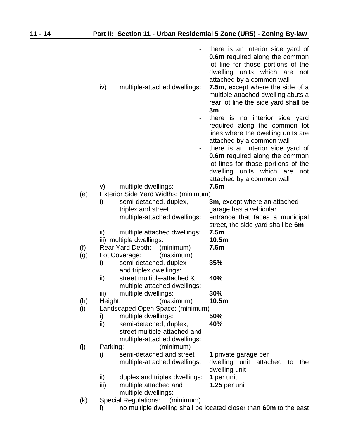|     | iv)<br>multiple-attached dwellings:                             | there is an interior side yard of<br><b>0.6m</b> required along the common<br>lot line for those portions of the<br>dwelling units which<br>are<br>not<br>attached by a common wall<br>7.5m, except where the side of a |
|-----|-----------------------------------------------------------------|-------------------------------------------------------------------------------------------------------------------------------------------------------------------------------------------------------------------------|
|     |                                                                 | multiple attached dwelling abuts a<br>rear lot line the side yard shall be<br>3m                                                                                                                                        |
|     |                                                                 | there is no interior side yard<br>required along the common lot<br>lines where the dwelling units are<br>attached by a common wall                                                                                      |
|     | -                                                               | there is an interior side yard of                                                                                                                                                                                       |
|     |                                                                 | <b>0.6m</b> required along the common                                                                                                                                                                                   |
|     |                                                                 | lot lines for those portions of the<br>dwelling<br>units which<br>are<br>not<br>attached by a common wall                                                                                                               |
|     | multiple dwellings:<br>V)                                       | 7.5m                                                                                                                                                                                                                    |
| (e) | Exterior Side Yard Widths: (minimum)                            |                                                                                                                                                                                                                         |
|     | semi-detached, duplex,<br>i)                                    | 3m, except where an attached                                                                                                                                                                                            |
|     | triplex and street<br>multiple-attached dwellings:              | garage has a vehicular<br>entrance that faces a municipal                                                                                                                                                               |
|     |                                                                 | street, the side yard shall be 6m                                                                                                                                                                                       |
|     | ii)<br>multiple attached dwellings:                             | 7.5m                                                                                                                                                                                                                    |
|     | iii) multiple dwellings:                                        | 10.5m                                                                                                                                                                                                                   |
| (f) | Rear Yard Depth:<br>(minimum)                                   | 7.5m                                                                                                                                                                                                                    |
| (g) | Lot Coverage:<br>(maximum)                                      |                                                                                                                                                                                                                         |
|     | semi-detached, duplex<br>i)<br>and triplex dwellings:           | 35%                                                                                                                                                                                                                     |
|     | street multiple-attached &<br>ii)                               | 40%                                                                                                                                                                                                                     |
|     | multiple-attached dwellings:                                    |                                                                                                                                                                                                                         |
|     | iii)<br>multiple dwellings:                                     | 30%                                                                                                                                                                                                                     |
| (h) | Height:<br>(maximum)                                            | 10.5m                                                                                                                                                                                                                   |
| (i) | Landscaped Open Space: (minimum)                                |                                                                                                                                                                                                                         |
|     | multiple dwellings:<br>i)                                       | 50%                                                                                                                                                                                                                     |
|     | ii)<br>semi-detached, duplex,<br>street multiple-attached and   | 40%                                                                                                                                                                                                                     |
|     | multiple-attached dwellings:                                    |                                                                                                                                                                                                                         |
| (j) | (minimum)<br>Parking:                                           |                                                                                                                                                                                                                         |
|     | semi-detached and street<br>i)                                  | 1 private garage per                                                                                                                                                                                                    |
|     | multiple-attached dwellings:                                    | dwelling unit attached to<br>the<br>dwelling unit                                                                                                                                                                       |
|     | ii)<br>duplex and triplex dwellings:                            | 1 per unit                                                                                                                                                                                                              |
|     | iii)<br>multiple attached and                                   | 1.25 per unit                                                                                                                                                                                                           |
| (k) | multiple dwellings:<br><b>Special Regulations:</b><br>(minimum) |                                                                                                                                                                                                                         |
|     |                                                                 |                                                                                                                                                                                                                         |

i) no multiple dwelling shall be located closer than **60m** to the east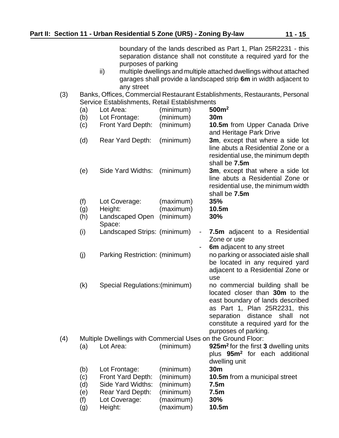boundary of the lands described as Part 1, Plan 25R2231 - this separation distance shall not constitute a required yard for the purposes of parking

- ii) multiple dwellings and multiple attached dwellings without attached garages shall provide a landscaped strip **6m** in width adjacent to any street
- (3) Banks, Offices, Commercial Restaurant Establishments, Restaurants, Personal Service Establishments, Retail Establishments

|     | (a)        | Lot Area:                                                    | (minimum)              | 500m <sup>2</sup>                                                                                                                                                                                                                        |
|-----|------------|--------------------------------------------------------------|------------------------|------------------------------------------------------------------------------------------------------------------------------------------------------------------------------------------------------------------------------------------|
|     | (b)        | Lot Frontage:                                                | (minimum)              | 30m                                                                                                                                                                                                                                      |
|     | (c)        | Front Yard Depth:                                            | (minimum)              | 10.5m from Upper Canada Drive<br>and Heritage Park Drive                                                                                                                                                                                 |
|     | (d)        | Rear Yard Depth:                                             | (minimum)              | 3m, except that where a side lot<br>line abuts a Residential Zone or a                                                                                                                                                                   |
|     |            |                                                              |                        | residential use, the minimum depth<br>shall be 7.5m                                                                                                                                                                                      |
|     | (e)        | Side Yard Widths:                                            | (minimum)              | 3m, except that where a side lot<br>line abuts a Residential Zone or<br>residential use, the minimum width<br>shall be 7.5m                                                                                                              |
|     | (f)        | Lot Coverage:                                                | (maximum)              | 35%                                                                                                                                                                                                                                      |
|     | (g)        | Height:                                                      | (maximum)              | 10.5m                                                                                                                                                                                                                                    |
|     | (h)        | Landscaped Open<br>Space:                                    | (minimum)              | 30%                                                                                                                                                                                                                                      |
|     | (i)        | Landscaped Strips: (minimum)                                 | $\blacksquare$         | 7.5m adjacent to a Residential<br>Zone or use<br>6m adjacent to any street                                                                                                                                                               |
|     | (j)        | Parking Restriction: (minimum)                               |                        | no parking or associated aisle shall<br>be located in any required yard<br>adjacent to a Residential Zone or<br>use                                                                                                                      |
|     | (k)        | Special Regulations: (minimum)                               |                        | no commercial building shall be<br>located closer than 30m to the<br>east boundary of lands described<br>as Part 1, Plan 25R2231, this<br>separation distance shall<br>not<br>constitute a required yard for the<br>purposes of parking. |
| (4) |            | Multiple Dwellings with Commercial Uses on the Ground Floor: |                        |                                                                                                                                                                                                                                          |
|     | (a)        | Lot Area:                                                    | (minimum)              | 925m <sup>2</sup> for the first 3 dwelling units                                                                                                                                                                                         |
|     |            |                                                              |                        | plus 95m <sup>2</sup> for each additional                                                                                                                                                                                                |
|     |            |                                                              |                        | dwelling unit<br>30 <sub>m</sub>                                                                                                                                                                                                         |
|     | (b)<br>(c) | Lot Frontage:<br>Front Yard Depth:                           | (minimum)<br>(minimum) | 10.5m from a municipal street                                                                                                                                                                                                            |
|     | (d)        | Side Yard Widths:                                            | (minimum)              | 7.5 <sub>m</sub>                                                                                                                                                                                                                         |
|     | (e)        | Rear Yard Depth:                                             | (minimum)              | 7.5m                                                                                                                                                                                                                                     |
|     | (f)        | Lot Coverage:                                                | (maximum)              | 30%                                                                                                                                                                                                                                      |
|     | (g)        | Height:                                                      | (maximum)              | 10.5m                                                                                                                                                                                                                                    |
|     |            |                                                              |                        |                                                                                                                                                                                                                                          |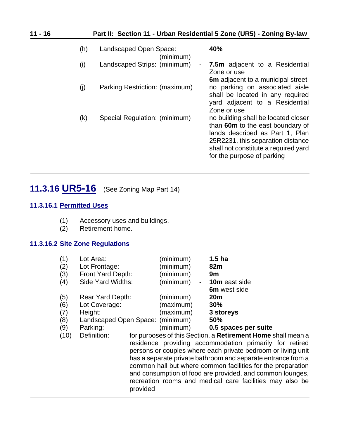| $11 - 16$ |     |                                     | Part II: Section 11 - Urban Residential 5 Zone (UR5) - Zoning By-law                                                                                                                                                  |
|-----------|-----|-------------------------------------|-----------------------------------------------------------------------------------------------------------------------------------------------------------------------------------------------------------------------|
|           | (h) | Landscaped Open Space:<br>(minimum) | 40%                                                                                                                                                                                                                   |
|           | (i) | Landscaped Strips: (minimum)        | <b>7.5m</b> adjacent to a Residential<br>Zone or use<br><b>6m</b> adjacent to a municipal street<br>$\blacksquare$                                                                                                    |
|           | (j) | Parking Restriction: (maximum)      | no parking on associated aisle<br>shall be located in any required<br>yard adjacent to a Residential<br>Zone or use                                                                                                   |
|           | (k) | Special Regulation: (minimum)       | no building shall be located closer<br>than 60m to the east boundary of<br>lands described as Part 1, Plan<br>25R2231, this separation distance<br>shall not constitute a required yard<br>for the purpose of parking |

# <span id="page-15-0"></span>**11.3.16 UR5-16** (See Zoning Map Part 14)

#### **11.3.16.1 Permitted Uses**

- (1) Accessory uses and buildings.
- (2) Retirement home.

#### **11.3.16.2 Site Zone Regulations**

| (1)  | Lot Area:                        | (minimum) | 1.5 <sub>ha</sub>                               |
|------|----------------------------------|-----------|-------------------------------------------------|
| (2)  | Lot Frontage:                    | (minimum) | 82m                                             |
| (3)  | Front Yard Depth:                | (minimum) | 9m                                              |
| (4)  | Side Yard Widths:                | (minimum) | 10m east side<br>$\overline{\phantom{a}}$       |
|      |                                  |           | 6m west side<br>-                               |
| (5)  | <b>Rear Yard Depth:</b>          | (minimum) | 20 <sub>m</sub>                                 |
| (6)  | Lot Coverage:                    | (maximum) | 30%                                             |
| (7)  | Height:                          | (maximum) | 3 storeys                                       |
| (8)  | Landscaped Open Space: (minimum) |           | <b>50%</b>                                      |
| (9)  | Parking:                         | (minimum) | 0.5 spaces per suite                            |
| (10) | Definition:                      |           | for purposes of this Section, a Retirement Home |
|      |                                  |           | residence providing coopmoodation primarily     |

shall mean a residence providing accommodation primarily for retired persons or couples where each private bedroom or living unit has a separate private bathroom and separate entrance from a common hall but where common facilities for the preparation and consumption of food are provided, and common lounges, recreation rooms and medical care facilities may also be provided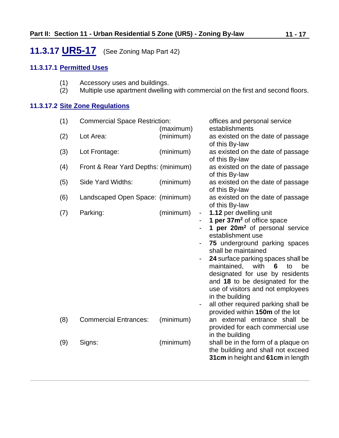# <span id="page-16-0"></span>**11.3.17 UR5-17** (See Zoning Map Part 42)

#### **11.3.17.1 Permitted Uses**

- (1) Accessory uses and buildings.<br>(2) Multiple use apartment dwelling
- Multiple use apartment dwelling with commercial on the first and second floors.

#### **11.3.17.2 Site Zone Regulations**

| (1) | <b>Commercial Space Restriction:</b> |           |   | offices and personal service                                           |
|-----|--------------------------------------|-----------|---|------------------------------------------------------------------------|
|     |                                      | (maximum) |   | establishments                                                         |
| (2) | Lot Area:                            | (minimum) |   | as existed on the date of passage                                      |
|     |                                      |           |   | of this By-law                                                         |
| (3) | Lot Frontage:                        | (minimum) |   | as existed on the date of passage                                      |
|     |                                      |           |   | of this By-law                                                         |
| (4) | Front & Rear Yard Depths: (minimum)  |           |   | as existed on the date of passage                                      |
|     |                                      |           |   | of this By-law                                                         |
| (5) | Side Yard Widths:                    | (minimum) |   | as existed on the date of passage                                      |
|     |                                      |           |   | of this By-law                                                         |
| (6) | Landscaped Open Space: (minimum)     |           |   | as existed on the date of passage                                      |
|     |                                      |           |   | of this By-law                                                         |
| (7) | Parking:                             | (minimum) | ۰ | 1.12 per dwelling unit                                                 |
|     |                                      |           |   | 1 per 37m <sup>2</sup> of office space                                 |
|     |                                      |           |   | 1 per 20m <sup>2</sup> of personal service                             |
|     |                                      |           |   | establishment use                                                      |
|     |                                      |           |   | 75 underground parking spaces                                          |
|     |                                      |           |   | shall be maintained                                                    |
|     |                                      |           |   | 24 surface parking spaces shall be                                     |
|     |                                      |           |   | maintained, with<br>6<br>to<br>be                                      |
|     |                                      |           |   | designated for use by residents                                        |
|     |                                      |           |   | and 18 to be designated for the                                        |
|     |                                      |           |   | use of visitors and not employees                                      |
|     |                                      |           |   | in the building                                                        |
|     |                                      |           |   | all other required parking shall be<br>provided within 150m of the lot |
| (8) | <b>Commercial Entrances:</b>         | (minimum) |   | an external entrance shall be                                          |
|     |                                      |           |   | provided for each commercial use                                       |
|     |                                      |           |   | in the building                                                        |
| (9) | Signs:                               | (minimum) |   | shall be in the form of a plaque on                                    |
|     |                                      |           |   | the building and shall not exceed                                      |
|     |                                      |           |   | 31cm in height and 61cm in length                                      |
|     |                                      |           |   |                                                                        |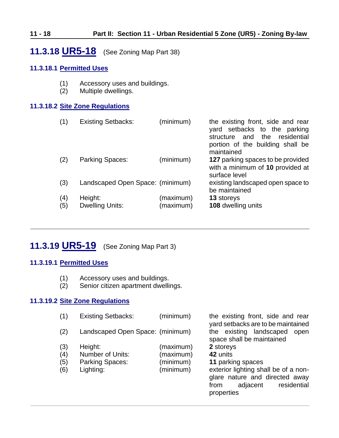### **11 - 18 Part II: Section 11 - Urban Residential 5 Zone (UR5) - Zoning By-law**

## <span id="page-17-0"></span>**11.3.18 UR5-18** (See Zoning Map Part 38)

#### **11.3.18.1 Permitted Uses**

- (1) Accessory uses and buildings.
- (2) Multiple dwellings.

#### **11.3.18.2 Site Zone Regulations**

| (1)        | <b>Existing Setbacks:</b>         | (minimum)              | the existing front, side and rear<br>yard setbacks to the parking<br>and the residential<br>structure<br>portion of the building shall be<br>maintained |
|------------|-----------------------------------|------------------------|---------------------------------------------------------------------------------------------------------------------------------------------------------|
| (2)        | Parking Spaces:                   | (minimum)              | 127 parking spaces to be provided<br>with a minimum of 10 provided at<br>surface level                                                                  |
| (3)        | Landscaped Open Space: (minimum)  |                        | existing landscaped open space to<br>be maintained                                                                                                      |
| (4)<br>(5) | Height:<br><b>Dwelling Units:</b> | (maximum)<br>(maximum) | 13 storeys<br>108 dwelling units                                                                                                                        |

# <span id="page-17-1"></span>**11.3.19 UR5-19** (See Zoning Map Part 3)

#### **11.3.19.1 Permitted Uses**

- (1) Accessory uses and buildings.
- (2) Senior citizen apartment dwellings.

#### **11.3.19.2 Site Zone Regulations**

| (1) | <b>Existing Setbacks:</b>        | (minimum) | the existing front, side and rear<br>yard setbacks are to be maintained |
|-----|----------------------------------|-----------|-------------------------------------------------------------------------|
| (2) | Landscaped Open Space: (minimum) |           | the existing landscaped<br>open<br>space shall be maintained            |
| (3) | Height:                          | (maximum) | 2 storeys                                                               |
| (4) | Number of Units:                 | (maximum) | 42 units                                                                |
| (5) | <b>Parking Spaces:</b>           | (minimum) | 11 parking spaces                                                       |
| (6) | Lighting:                        | (minimum) | exterior lighting shall be of a non-                                    |
|     |                                  |           | glare nature and directed away                                          |
|     |                                  |           | residential<br>adjacent<br>from                                         |
|     |                                  |           | properties                                                              |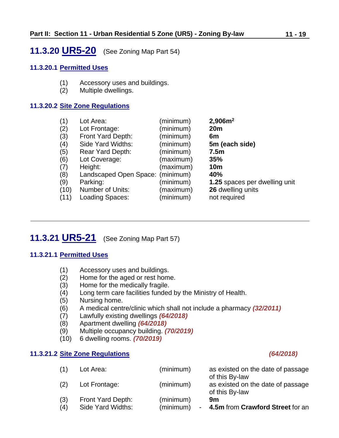### <span id="page-18-1"></span>**11.3.20 UR5-20** (See Zoning Map Part 54)

#### **11.3.20.1 Permitted Uses**

- (1) Accessory uses and buildings.
- (2) Multiple dwellings.

#### **11.3.20.2 Site Zone Regulations**

| Lot Area:               | (minimum) | 2,906m <sup>2</sup>              |
|-------------------------|-----------|----------------------------------|
| Lot Frontage:           | (minimum) | 20 <sub>m</sub>                  |
| Front Yard Depth:       | (minimum) | 6m                               |
| Side Yard Widths:       | (minimum) | 5m (each side)                   |
| <b>Rear Yard Depth:</b> | (minimum) | 7.5 <sub>m</sub>                 |
| Lot Coverage:           | (maximum) | 35%                              |
| Height:                 | (maximum) | <b>10m</b>                       |
|                         |           | 40%                              |
| Parking:                | (minimum) | 1.25 spaces per dwelling unit    |
| <b>Number of Units:</b> | (maximum) | 26 dwelling units                |
| Loading Spaces:         | (minimum) | not required                     |
|                         |           | Landscaped Open Space: (minimum) |

# <span id="page-18-0"></span>**11.3.21 UR5-21** (See Zoning Map Part 57)

#### **11.3.21.1 Permitted Uses**

- (1) Accessory uses and buildings.
- (2) Home for the aged or rest home.
- (3) Home for the medically fragile.
- (4) Long term care facilities funded by the Ministry of Health.
- (5) Nursing home.
- (6) A medical centre/clinic which shall not include a pharmacy *(32/2011)*
- (7) Lawfully existing dwellings *(64/2018)*
- (8) Apartment dwelling *(64/2018)*
- (9) Multiple occupancy building. *(70/2019)*
- (10) 6 dwelling rooms. *(70/2019)*

#### **11.3.21.2 Site Zone Regulations** *(64/2018)*

| (1) | Lot Area:         | (minimum) | as existed on the date of passage<br>of this By-law |
|-----|-------------------|-----------|-----------------------------------------------------|
| (2) | Lot Frontage:     | (minimum) | as existed on the date of passage<br>of this By-law |
| (3) | Front Yard Depth: | (minimum) | 9m                                                  |
| (4) | Side Yard Widths: | (minimum) | 4.5m from Crawford Street for an                    |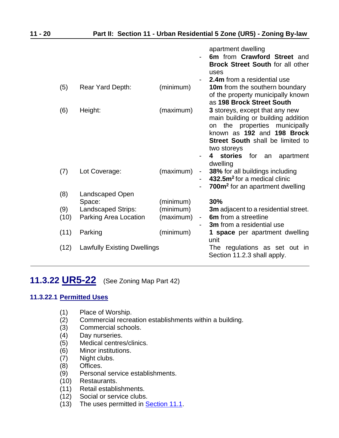|      |                                    |           |                              | apartment dwelling                          |
|------|------------------------------------|-----------|------------------------------|---------------------------------------------|
|      |                                    |           |                              | 6m from Crawford Street and                 |
|      |                                    |           |                              | <b>Brock Street South for all other</b>     |
|      |                                    |           |                              | uses<br><b>2.4m</b> from a residential use  |
| (5)  | Rear Yard Depth:                   | (minimum) |                              | <b>10m</b> from the southern boundary       |
|      |                                    |           |                              | of the property municipally known           |
|      |                                    |           |                              | as 198 Brock Street South                   |
| (6)  | Height:                            | (maximum) |                              | 3 storeys, except that any new              |
|      |                                    |           |                              | main building or building addition          |
|      |                                    |           |                              | the properties municipally<br>on            |
|      |                                    |           |                              | known as 192 and 198 Brock                  |
|      |                                    |           |                              | <b>Street South shall be limited to</b>     |
|      |                                    |           |                              | two storeys                                 |
|      |                                    |           |                              | stories<br>for<br>4<br>apartment<br>an      |
|      |                                    |           |                              | dwelling                                    |
| (7)  | Lot Coverage:                      | (maximum) | $\qquad \qquad \blacksquare$ | 38% for all buildings including             |
|      |                                    |           |                              | 432.5m <sup>2</sup> for a medical clinic    |
|      |                                    |           |                              | 700m <sup>2</sup> for an apartment dwelling |
| (8)  | Landscaped Open<br>Space:          | (minimum) |                              | 30%                                         |
| (9)  | Landscaped Strips:                 | (minimum) |                              | <b>3m</b> adjacent to a residential street. |
| (10) | Parking Area Location              | (maximum) | -                            | <b>6m</b> from a streetline                 |
|      |                                    |           |                              | 3m from a residential use                   |
| (11) | Parking                            | (minimum) |                              | 1 space per apartment dwelling              |
|      |                                    |           |                              | unit                                        |
| (12) | <b>Lawfully Existing Dwellings</b> |           |                              | The regulations as set out in               |
|      |                                    |           |                              | Section 11.2.3 shall apply.                 |

# <span id="page-19-0"></span>**11.3.22 UR5-22** (See Zoning Map Part 42)

#### **11.3.22.1 Permitted Uses**

- (1) Place of Worship.
- (2) Commercial recreation establishments within a building.
- (3) Commercial schools.
- (4) Day nurseries.
- (5) Medical centres/clinics.
- (6) Minor institutions.
- (7) Night clubs.
- (8) Offices.
- (9) Personal service establishments.
- (10) Restaurants.
- (11) Retail establishments.
- (12) Social or service clubs.
- (13) The uses permitted in **Section 11.1**.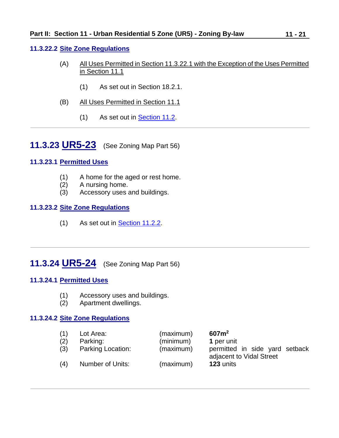#### **11.3.22.2 Site Zone Regulations**

- (A) All Uses Permitted in Section 11.3.22.1 with the Exception of the Uses Permitted in Section 11.1
	- (1) As set out in Section 18.2.1.
- (B) All Uses Permitted in Section 11.1
	- (1) As set out in [Section 11.2.](#page-0-1)

<span id="page-20-0"></span>**11.3.23 UR5-23** (See Zoning Map Part 56)

#### **11.3.23.1 Permitted Uses**

- (1) A home for the aged or rest home.
- (2) A nursing home.
- (3) Accessory uses and buildings.

#### **11.3.23.2 Site Zone Regulations**

(1) As set out in [Section 11.2.2.](#page-1-0)

# <span id="page-20-1"></span>**11.3.24 UR5-24** (See Zoning Map Part 56)

#### **11.3.24.1 Permitted Uses**

- (1) Accessory uses and buildings.
- (2) Apartment dwellings.

#### **11.3.24.2 Site Zone Regulations**

| (1) | Lot Area:         | (maximum) | 607m <sup>2</sup>                                          |
|-----|-------------------|-----------|------------------------------------------------------------|
| (2) | Parking:          | (minimum) | 1 per unit                                                 |
| (3) | Parking Location: | (maximum) | permitted in side yard setback<br>adjacent to Vidal Street |
| (4) | Number of Units:  | (maximum) | 123 units                                                  |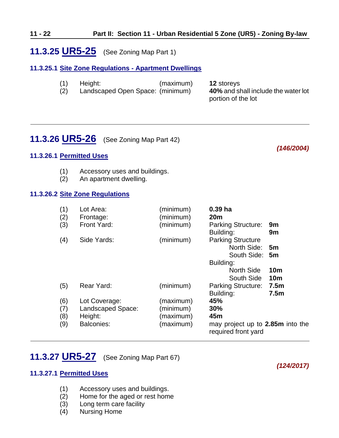### <span id="page-21-0"></span>**11.3.25 UR5-25** (See Zoning Map Part 1)

#### **11.3.25.1 Site Zone Regulations - Apartment Dwellings**

| (1) | Height:                          | (maximum) | <b>12 storeys</b>                   |
|-----|----------------------------------|-----------|-------------------------------------|
| (2) | Landscaped Open Space: (minimum) |           | 40% and shall include the water lot |
|     |                                  |           | portion of the lot                  |

### <span id="page-21-1"></span>**11.3.26 UR5-26** (See Zoning Map Part 42)

#### *(146/2004)*

#### **11.3.26.1 Permitted Uses**

- (1) Accessory uses and buildings.
- (2) An apartment dwelling.

#### **11.3.26.2 Site Zone Regulations**

| (1)<br>(2) | Lot Area:<br>Frontage: | (minimum)<br>(minimum) | 0.39 <sub>ha</sub><br>20 <sub>m</sub>                   |                  |
|------------|------------------------|------------------------|---------------------------------------------------------|------------------|
| (3)        | Front Yard:            | (minimum)              | <b>Parking Structure:</b>                               | 9m               |
| (4)        | Side Yards:            | (minimum)              | Building:<br><b>Parking Structure</b>                   | 9m               |
|            |                        |                        | North Side:                                             | 5 <sub>m</sub>   |
|            |                        |                        | South Side: 5m                                          |                  |
|            |                        |                        | Building:                                               |                  |
|            |                        |                        | <b>North Side</b>                                       | 10 <sub>m</sub>  |
|            |                        |                        | South Side                                              | <b>10m</b>       |
| (5)        | Rear Yard:             | (minimum)              | <b>Parking Structure:</b>                               | 7.5 <sub>m</sub> |
|            |                        |                        | Building:                                               | 7.5 <sub>m</sub> |
| (6)        | Lot Coverage:          | (maximum)              | 45%                                                     |                  |
| (7)        | Landscaped Space:      | (minimum)              | 30%                                                     |                  |
| (8)        | Height:                | (maximum)              | 45m                                                     |                  |
| (9)        | <b>Balconies:</b>      | (maximum)              | may project up to 2.85m into the<br>required front yard |                  |

# <span id="page-21-2"></span>**11.3.27 UR5-27** (See Zoning Map Part 67)

#### **11.3.27.1 Permitted Uses**

- (1) Accessory uses and buildings.
- (2) Home for the aged or rest home
- (3) Long term care facility
- (4) Nursing Home

### *(124/2017)*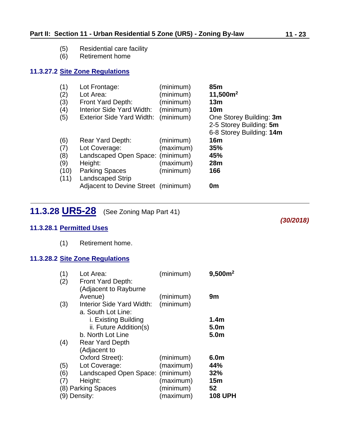- (5) Residential care facility
- Retirement home

#### **11.3.27.2 Site Zone Regulations**

| (1)<br>(2)<br>(3)<br>(4)<br>(5)          | Lot Frontage:<br>Lot Area:<br>Front Yard Depth:<br>Interior Side Yard Width:<br><b>Exterior Side Yard Width:</b>                                                            | (minimum)<br>(minimum)<br>(minimum)<br>(minimum)<br>(minimum) | 85 <sub>m</sub><br>11,500m <sup>2</sup><br>13m<br><b>10m</b><br>One Storey Building: 3m<br>2-5 Storey Building: 5m<br>6-8 Storey Building: 14m |
|------------------------------------------|-----------------------------------------------------------------------------------------------------------------------------------------------------------------------------|---------------------------------------------------------------|------------------------------------------------------------------------------------------------------------------------------------------------|
| (6)<br>(7)<br>(8)<br>(9)<br>(10)<br>(11) | Rear Yard Depth:<br>Lot Coverage:<br>Landscaped Open Space: (minimum)<br>Height:<br><b>Parking Spaces</b><br><b>Landscaped Strip</b><br>Adjacent to Devine Street (minimum) | (minimum)<br>(maximum)<br>(maximum)<br>(minimum)              | 16m<br>35%<br>45%<br>28 <sub>m</sub><br>166<br>0m                                                                                              |

<span id="page-22-0"></span>**11.3.28 UR5-28** (See Zoning Map Part 41)

#### **11.3.28.1 Permitted Uses**

(1) Retirement home.

### **11.3.28.2 Site Zone Regulations**

| (1) | Lot Area:                        | (minimum) | 9,500m <sup>2</sup> |
|-----|----------------------------------|-----------|---------------------|
| (2) | Front Yard Depth:                |           |                     |
|     | (Adjacent to Rayburne            |           |                     |
|     | Avenue)                          | (minimum) | 9m                  |
| (3) | Interior Side Yard Width:        | (minimum) |                     |
|     | a. South Lot Line:               |           |                     |
|     | i. Existing Building             |           | 1.4 <sub>m</sub>    |
|     | ii. Future Addition(s)           |           | 5.0m                |
|     | b. North Lot Line                |           | 5.0m                |
| (4) | <b>Rear Yard Depth</b>           |           |                     |
|     | (Adjacent to                     |           |                     |
|     | Oxford Street):                  | (minimum) | 6.0m                |
| (5) | Lot Coverage:                    | (maximum) | 44%                 |
| (6) | Landscaped Open Space: (minimum) |           | 32%                 |
| (7) | Height:                          | (maximum) | 15 <sub>m</sub>     |
|     | (8) Parking Spaces               | (minimum) | 52                  |
|     | (9) Density:                     | (maximum) | <b>108 UPH</b>      |

*(30/2018)*